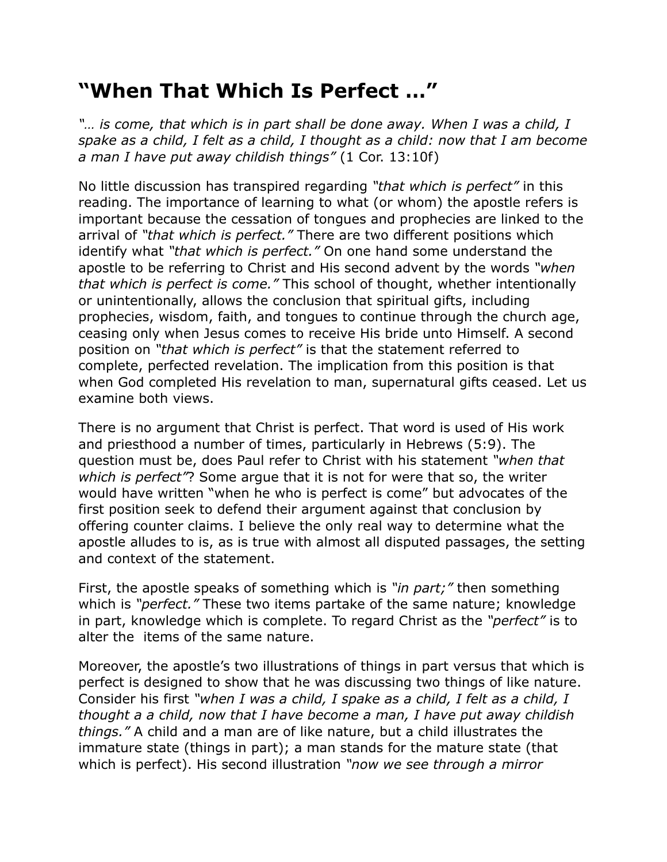## **"When That Which Is Perfect …"**

*"… is come, that which is in part shall be done away. When I was a child, I spake as a child, I felt as a child, I thought as a child: now that I am become a man I have put away childish things"* (1 Cor. 13:10f)

No little discussion has transpired regarding *"that which is perfect"* in this reading. The importance of learning to what (or whom) the apostle refers is important because the cessation of tongues and prophecies are linked to the arrival of *"that which is perfect."* There are two different positions which identify what *"that which is perfect."* On one hand some understand the apostle to be referring to Christ and His second advent by the words *"when that which is perfect is come."* This school of thought, whether intentionally or unintentionally, allows the conclusion that spiritual gifts, including prophecies, wisdom, faith, and tongues to continue through the church age, ceasing only when Jesus comes to receive His bride unto Himself. A second position on *"that which is perfect"* is that the statement referred to complete, perfected revelation. The implication from this position is that when God completed His revelation to man, supernatural gifts ceased. Let us examine both views.

There is no argument that Christ is perfect. That word is used of His work and priesthood a number of times, particularly in Hebrews (5:9). The question must be, does Paul refer to Christ with his statement *"when that which is perfect"*? Some argue that it is not for were that so, the writer would have written "when he who is perfect is come" but advocates of the first position seek to defend their argument against that conclusion by offering counter claims. I believe the only real way to determine what the apostle alludes to is, as is true with almost all disputed passages, the setting and context of the statement.

First, the apostle speaks of something which is *"in part;"* then something which is *"perfect."* These two items partake of the same nature; knowledge in part, knowledge which is complete. To regard Christ as the *"perfect"* is to alter the items of the same nature.

Moreover, the apostle's two illustrations of things in part versus that which is perfect is designed to show that he was discussing two things of like nature. Consider his first *"when I was a child, I spake as a child, I felt as a child, I thought a a child, now that I have become a man, I have put away childish things."* A child and a man are of like nature, but a child illustrates the immature state (things in part); a man stands for the mature state (that which is perfect). His second illustration *"now we see through a mirror*